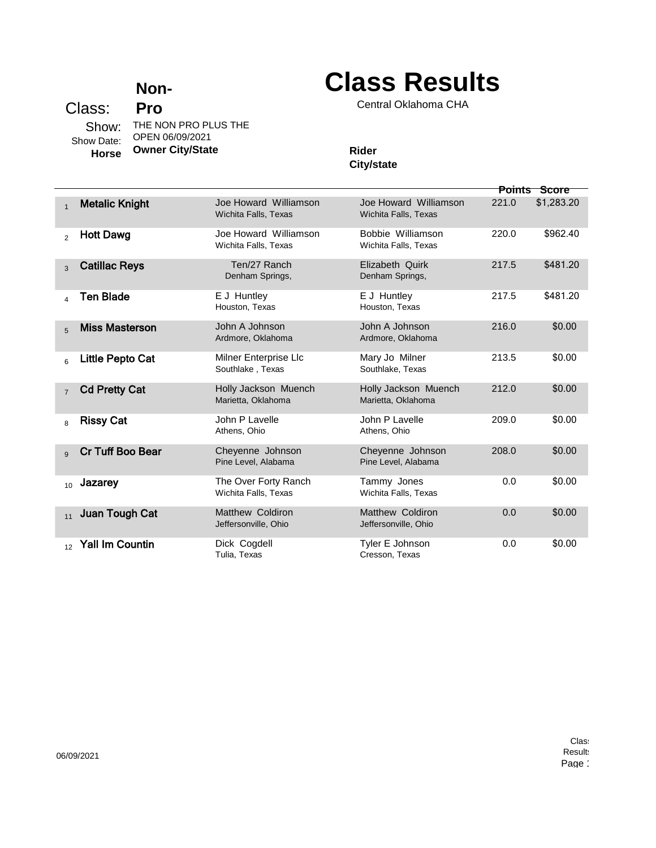## **Non-**

**Class Results**

Central Oklahoma CHA

## Class: **Pro** Show: THE NON PRO PLUS THE Show Date: **Horse** OPEN 06/09/2021 **Owner City/State Rider Rider**

## **City/state**

|                |                         |                                               |                                                 | <b>Points</b> | Score      |
|----------------|-------------------------|-----------------------------------------------|-------------------------------------------------|---------------|------------|
| $\mathbf{1}$   | <b>Metalic Knight</b>   | Joe Howard Williamson<br>Wichita Falls, Texas | Joe Howard Williamson<br>Wichita Falls, Texas   | 221.0         | \$1,283.20 |
| 2              | <b>Hott Dawg</b>        | Joe Howard Williamson<br>Wichita Falls, Texas | Bobbie Williamson<br>Wichita Falls, Texas       | 220.0         | \$962.40   |
| 3              | <b>Catillac Reys</b>    | Ten/27 Ranch<br>Denham Springs,               | Elizabeth Quirk<br>Denham Springs,              | 217.5         | \$481.20   |
| $\overline{4}$ | Ten Blade               | E J Huntley<br>Houston, Texas                 | E J Huntley<br>Houston, Texas                   | 217.5         | \$481.20   |
| $\overline{5}$ | <b>Miss Masterson</b>   | John A Johnson<br>Ardmore, Oklahoma           | John A Johnson<br>Ardmore, Oklahoma             | 216.0         | \$0.00     |
| 6              | Little Pepto Cat        | Milner Enterprise Llc<br>Southlake, Texas     | Mary Jo Milner<br>Southlake, Texas              | 213.5         | \$0.00     |
| $\overline{7}$ | <b>Cd Pretty Cat</b>    | Holly Jackson Muench<br>Marietta, Oklahoma    | Holly Jackson Muench<br>Marietta, Oklahoma      | 212.0         | \$0.00     |
| 8              | <b>Rissy Cat</b>        | John P Lavelle<br>Athens, Ohio                | John P Lavelle<br>Athens, Ohio                  | 209.0         | \$0.00     |
| 9              | <b>Cr Tuff Boo Bear</b> | Cheyenne Johnson<br>Pine Level, Alabama       | Cheyenne Johnson<br>Pine Level, Alabama         | 208.0         | \$0.00     |
| 10             | Jazarey                 | The Over Forty Ranch<br>Wichita Falls, Texas  | Tammy Jones<br>Wichita Falls, Texas             | 0.0           | \$0.00     |
| 11             | Juan Tough Cat          | Matthew Coldiron<br>Jeffersonville, Ohio      | <b>Matthew Coldiron</b><br>Jeffersonville, Ohio | 0.0           | \$0.00     |
| 12             | <b>Yall Im Countin</b>  | Dick Cogdell<br>Tulia, Texas                  | Tyler E Johnson<br>Cresson, Texas               | 0.0           | \$0.00     |